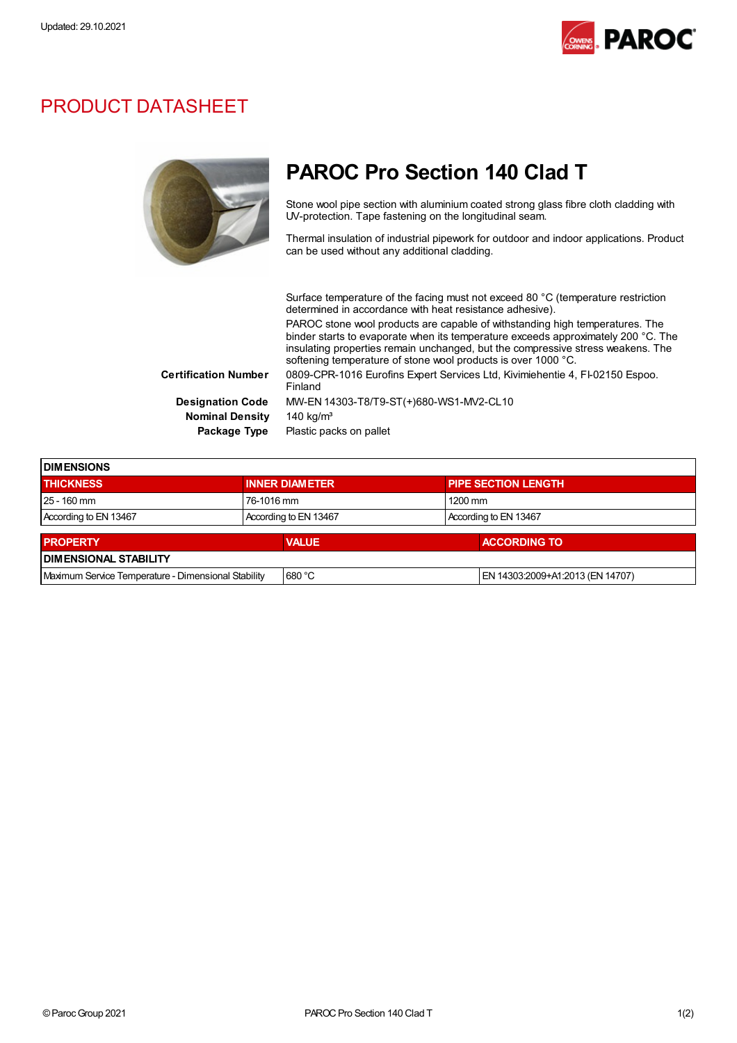**DIMENSIONS** 



### PRODUCT DATASHEET



## PAROC Pro Section 140 Clad T

Stone wool pipe section with aluminium coated strong glass fibre cloth cladding with UV-protection. Tape fastening on the longitudinal seam.

Thermal insulation of industrial pipework for outdoor and indoor applications. Product can be used without any additional cladding.

Surface temperature of the facing must not exceed 80 °C (temperature restriction determined in accordance with heat resistance adhesive). PAROC stone wool products are capable of withstanding high temperatures. The binder starts to evaporate when its temperature exceeds approximately 200 °C. The insulating properties remain unchanged, but the compressive stress weakens. The softening temperature of stone wool products is over 1000 °C. Certification Number 0809-CPR-1016 Eurofins Expert Services Ltd, Kivimiehentie 4, FI-02150 Espoo. Finland Designation Code MW-EN 14303-T8/T9-ST(+)680-WS1-MV2-CL10 Nominal Density 140 kg/m<sup>3</sup> Package Type Plastic packs on pallet

THICKNESS **INNER DIAMETER** PIPE SECTION LENGTH

| $125 - 160$ mm                                      | 76-1016 mm            | $1200 \text{ mm}$                |  |  |  |
|-----------------------------------------------------|-----------------------|----------------------------------|--|--|--|
| According to EN 13467                               | According to EN 13467 | According to EN 13467            |  |  |  |
| <b>PROPERTY</b>                                     | <b>VALUE</b>          | <b>ACCORDING TO</b>              |  |  |  |
| <b>DIMENSIONAL STABILITY</b>                        |                       |                                  |  |  |  |
| Maximum Service Temperature - Dimensional Stability | 680 °C                | EN 14303:2009+A1:2013 (EN 14707) |  |  |  |